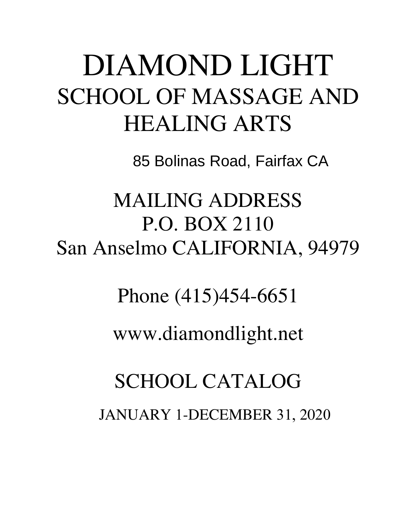# DIAMOND LIGHT SCHOOL OF MASSAGE AND HEALING ARTS

85 Bolinas Road, Fairfax CA

MAILING ADDRESS P.O. BOX 2110 San Anselmo CALIFORNIA, 94979

Phone (415)454-6651

www.diamondlight.net

SCHOOL CATALOG JANUARY 1-DECEMBER 31, 2020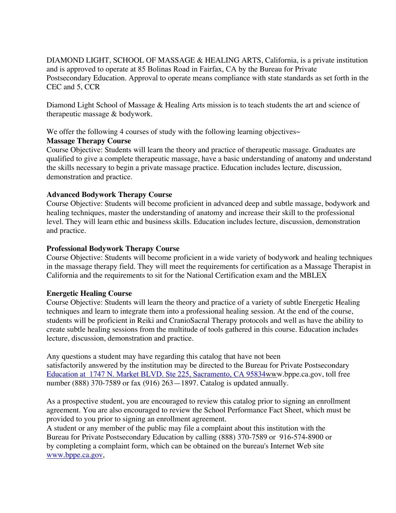DIAMOND LIGHT, SCHOOL OF MASSAGE & HEALING ARTS, California, is a private institution and is approved to operate at 85 Bolinas Road in Fairfax, CA by the Bureau for Private Postsecondary Education. Approval to operate means compliance with state standards as set forth in the CEC and 5, CCR

Diamond Light School of Massage & Healing Arts mission is to teach students the art and science of therapeutic massage & bodywork.

We offer the following 4 courses of study with the following learning objectives $\sim$ 

# **Massage Therapy Course**

Course Objective: Students will learn the theory and practice of therapeutic massage. Graduates are qualified to give a complete therapeutic massage, have a basic understanding of anatomy and understand the skills necessary to begin a private massage practice. Education includes lecture, discussion, demonstration and practice.

# **Advanced Bodywork Therapy Course**

Course Objective: Students will become proficient in advanced deep and subtle massage, bodywork and healing techniques, master the understanding of anatomy and increase their skill to the professional level. They will learn ethic and business skills. Education includes lecture, discussion, demonstration and practice.

# **Professional Bodywork Therapy Course**

Course Objective: Students will become proficient in a wide variety of bodywork and healing techniques in the massage therapy field. They will meet the requirements for certification as a Massage Therapist in California and the requirements to sit for the National Certification exam and the MBLEX

# **Energetic Healing Course**

Course Objective: Students will learn the theory and practice of a variety of subtle Energetic Healing techniques and learn to integrate them into a professional healing session. At the end of the course, students will be proficient in Reiki and CranioSacral Therapy protocols and well as have the ability to create subtle healing sessions from the multitude of tools gathered in this course. Education includes lecture, discussion, demonstration and practice.

Any questions a student may have regarding this catalog that have not been satisfactorily answered by the institution may be directed to the Bureau for Private Postsecondary Education at 1747 N. Market BLVD. Ste 225, Sacramento, CA 95834www.bppe.ca.gov, toll free number (888) 370-7589 or fax (916) 263—1897. Catalog is updated annually.

As a prospective student, you are encouraged to review this catalog prior to signing an enrollment agreement. You are also encouraged to review the School Performance Fact Sheet, which must be provided to you prior to signing an enrollment agreement.

A student or any member of the public may file a complaint about this institution with the Bureau for Private Postsecondary Education by calling (888) 370-7589 or 916-574-8900 or by completing a complaint form, which can be obtained on the bureau's Internet Web site www.bppe.ca.gov,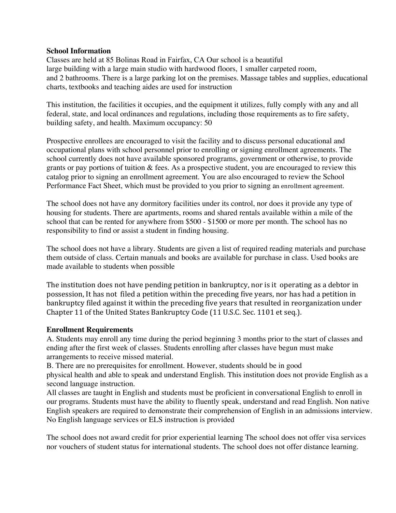#### **School Information**

Classes are held at 85 Bolinas Road in Fairfax, CA Our school is a beautiful large building with a large main studio with hardwood floors, 1 smaller carpeted room, and 2 bathrooms. There is a large parking lot on the premises. Massage tables and supplies, educational charts, textbooks and teaching aides are used for instruction

This institution, the facilities it occupies, and the equipment it utilizes, fully comply with any and all federal, state, and local ordinances and regulations, including those requirements as to fire safety, building safety, and health. Maximum occupancy: 50

Prospective enrollees are encouraged to visit the facility and to discuss personal educational and occupational plans with school personnel prior to enrolling or signing enrollment agreements. The school currently does not have available sponsored programs, government or otherwise, to provide grants or pay portions of tuition & fees. As a prospective student, you are encouraged to review this catalog prior to signing an enrollment agreement. You are also encouraged to review the School Performance Fact Sheet, which must be provided to you prior to signing an enrollment agreement.

The school does not have any dormitory facilities under its control, nor does it provide any type of housing for students. There are apartments, rooms and shared rentals available within a mile of the school that can be rented for anywhere from \$500 - \$1500 or more per month. The school has no responsibility to find or assist a student in finding housing.

The school does not have a library. Students are given a list of required reading materials and purchase them outside of class. Certain manuals and books are available for purchase in class. Used books are made available to students when possible

The institution does not have pending petition in bankruptcy, nor is it operating as a debtor in possession, It has not filed a petition within the preceding five years, nor has had a petition in bankruptcy filed against it within the preceding five years that resulted in reorganization under Chapter 11 of the United States Bankruptcy Code (11 U.S.C. Sec. 1101 et seq.).

#### **Enrollment Requirements**

A. Students may enroll any time during the period beginning 3 months prior to the start of classes and ending after the first week of classes. Students enrolling after classes have begun must make arrangements to receive missed material.

B. There are no prerequisites for enrollment. However, students should be in good physical health and able to speak and understand English. This institution does not provide English as a second language instruction.

All classes are taught in English and students must be proficient in conversational English to enroll in our programs. Students must have the ability to fluently speak, understand and read English. Non native English speakers are required to demonstrate their comprehension of English in an admissions interview. No English language services or ELS instruction is provided

The school does not award credit for prior experiential learning The school does not offer visa services nor vouchers of student status for international students. The school does not offer distance learning.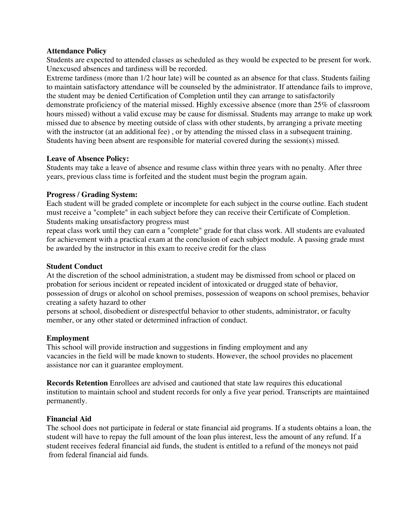#### **Attendance Policy**

Students are expected to attended classes as scheduled as they would be expected to be present for work. Unexcused absences and tardiness will be recorded.

Extreme tardiness (more than 1/2 hour late) will be counted as an absence for that class. Students failing to maintain satisfactory attendance will be counseled by the administrator. If attendance fails to improve, the student may be denied Certification of Completion until they can arrange to satisfactorily demonstrate proficiency of the material missed. Highly excessive absence (more than 25% of classroom hours missed) without a valid excuse may be cause for dismissal. Students may arrange to make up work missed due to absence by meeting outside of class with other students, by arranging a private meeting with the instructor (at an additional fee), or by attending the missed class in a subsequent training. Students having been absent are responsible for material covered during the session(s) missed.

#### **Leave of Absence Policy:**

Students may take a leave of absence and resume class within three years with no penalty. After three years, previous class time is forfeited and the student must begin the program again.

#### **Progress / Grading System:**

Each student will be graded complete or incomplete for each subject in the course outline. Each student must receive a "complete" in each subject before they can receive their Certificate of Completion. Students making unsatisfactory progress must

repeat class work until they can earn a "complete" grade for that class work. All students are evaluated for achievement with a practical exam at the conclusion of each subject module. A passing grade must be awarded by the instructor in this exam to receive credit for the class

#### **Student Conduct**

At the discretion of the school administration, a student may be dismissed from school or placed on probation for serious incident or repeated incident of intoxicated or drugged state of behavior, possession of drugs or alcohol on school premises, possession of weapons on school premises, behavior creating a safety hazard to other

persons at school, disobedient or disrespectful behavior to other students, administrator, or faculty member, or any other stated or determined infraction of conduct.

#### **Employment**

This school will provide instruction and suggestions in finding employment and any vacancies in the field will be made known to students. However, the school provides no placement assistance nor can it guarantee employment.

**Records Retention** Enrollees are advised and cautioned that state law requires this educational institution to maintain school and student records for only a five year period. Transcripts are maintained permanently.

#### **Financial Aid**

The school does not participate in federal or state financial aid programs. If a students obtains a loan, the student will have to repay the full amount of the loan plus interest, less the amount of any refund. If a student receives federal financial aid funds, the student is entitled to a refund of the moneys not paid from federal financial aid funds.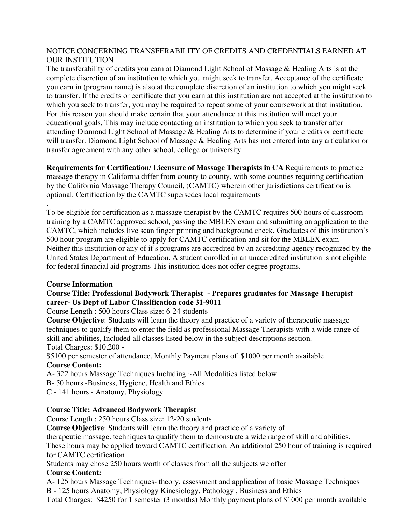# NOTICE CONCERNING TRANSFERABILITY OF CREDITS AND CREDENTIALS EARNED AT OUR INSTITUTION

The transferability of credits you earn at Diamond Light School of Massage & Healing Arts is at the complete discretion of an institution to which you might seek to transfer. Acceptance of the certificate you earn in (program name) is also at the complete discretion of an institution to which you might seek to transfer. If the credits or certificate that you earn at this institution are not accepted at the institution to which you seek to transfer, you may be required to repeat some of your coursework at that institution. For this reason you should make certain that your attendance at this institution will meet your educational goals. This may include contacting an institution to which you seek to transfer after attending Diamond Light School of Massage & Healing Arts to determine if your credits or certificate will transfer. Diamond Light School of Massage & Healing Arts has not entered into any articulation or transfer agreement with any other school, college or university

**Requirements for Certification/ Licensure of Massage Therapists in CA** Requirements to practice massage therapy in California differ from county to county, with some counties requiring certification by the California Massage Therapy Council, (CAMTC) wherein other jurisdictions certification is optional. Certification by the CAMTC supersedes local requirements

. To be eligible for certification as a massage therapist by the CAMTC requires 500 hours of classroom training by a CAMTC approved school, passing the MBLEX exam and submitting an application to the CAMTC, which includes live scan finger printing and background check. Graduates of this institution's 500 hour program are eligible to apply for CAMTC certification and sit for the MBLEX exam Neither this institution or any of it's programs are accredited by an accrediting agency recognized by the United States Department of Education. A student enrolled in an unaccredited institution is not eligible for federal financial aid programs This institution does not offer degree programs.

# **Course Information**

# **Course Title: Professional Bodywork Therapist - Prepares graduates for Massage Therapist career- Us Dept of Labor Classification code 31-9011**

Course Length : 500 hours Class size: 6-24 students

**Course Objective**: Students will learn the theory and practice of a variety of therapeutic massage techniques to qualify them to enter the field as professional Massage Therapists with a wide range of skill and abilities, Included all classes listed below in the subject descriptions section.

Total Charges: \$10,200 -

\$5100 per semester of attendance, Monthly Payment plans of \$1000 per month available **Course Content:** 

A- 322 hours Massage Techniques Including ~All Modalities listed below

B- 50 hours -Business, Hygiene, Health and Ethics

C - 141 hours - Anatomy, Physiology

# **Course Title: Advanced Bodywork Therapist**

Course Length : 250 hours Class size: 12-20 students

**Course Objective**: Students will learn the theory and practice of a variety of

therapeutic massage. techniques to qualify them to demonstrate a wide range of skill and abilities.

These hours may be applied toward CAMTC certification. An additional 250 hour of training is required for CAMTC certification

Students may chose 250 hours worth of classes from all the subjects we offer

# **Course Content:**

A- 125 hours Massage Techniques- theory, assessment and application of basic Massage Techniques B - 125 hours Anatomy, Physiology Kinesiology, Pathology , Business and Ethics

Total Charges: \$4250 for 1 semester (3 months) Monthly payment plans of \$1000 per month available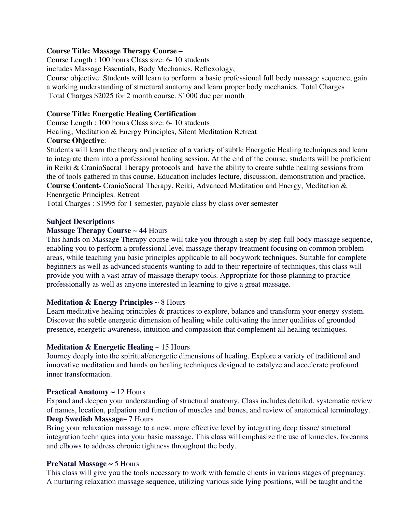#### **Course Title: Massage Therapy Course –**

Course Length : 100 hours Class size: 6- 10 students

includes Massage Essentials, Body Mechanics, Reflexology,

Course objective: Students will learn to perform a basic professional full body massage sequence, gain a working understanding of structural anatomy and learn proper body mechanics. Total Charges Total Charges \$2025 for 2 month course. \$1000 due per month

### **Course Title: Energetic Healing Certification**

Course Length : 100 hours Class size: 6- 10 students

Healing, Meditation & Energy Principles, Silent Meditation Retreat

# **Course Objective**:

Students will learn the theory and practice of a variety of subtle Energetic Healing techniques and learn to integrate them into a professional healing session. At the end of the course, students will be proficient in Reiki & CranioSacral Therapy protocols and have the ability to create subtle healing sessions from the of tools gathered in this course. Education includes lecture, discussion, demonstration and practice. **Course Content-** CranioSacral Therapy, Reiki, Advanced Meditation and Energy, Meditation & Enenrgetic Principles. Retreat

Total Charges : \$1995 for 1 semester, payable class by class over semester

#### **Subject Descriptions**

#### **Massage Therapy Course** ~ 44 Hours

This hands on Massage Therapy course will take you through a step by step full body massage sequence, enabling you to perform a professional level massage therapy treatment focusing on common problem areas, while teaching you basic principles applicable to all bodywork techniques. Suitable for complete beginners as well as advanced students wanting to add to their repertoire of techniques, this class will provide you with a vast array of massage therapy tools. Appropriate for those planning to practice professionally as well as anyone interested in learning to give a great massage.

# **Meditation & Energy Principles** ~ 8 Hours

Learn meditative healing principles & practices to explore, balance and transform your energy system. Discover the subtle energetic dimension of healing while cultivating the inner qualities of grounded presence, energetic awareness, intuition and compassion that complement all healing techniques.

# **Meditation & Energetic Healing** ~ 15 Hours

Journey deeply into the spiritual/energetic dimensions of healing. Explore a variety of traditional and innovative meditation and hands on healing techniques designed to catalyze and accelerate profound inner transformation.

# **Practical Anatomy ~** 12 Hours

Expand and deepen your understanding of structural anatomy. Class includes detailed, systematic review of names, location, palpation and function of muscles and bones, and review of anatomical terminology. **Deep Swedish Massage~** 7 Hours

Bring your relaxation massage to a new, more effective level by integrating deep tissue/ structural integration techniques into your basic massage. This class will emphasize the use of knuckles, forearms and elbows to address chronic tightness throughout the body.

#### **PreNatal Massage ~** 5 Hours

This class will give you the tools necessary to work with female clients in various stages of pregnancy. A nurturing relaxation massage sequence, utilizing various side lying positions, will be taught and the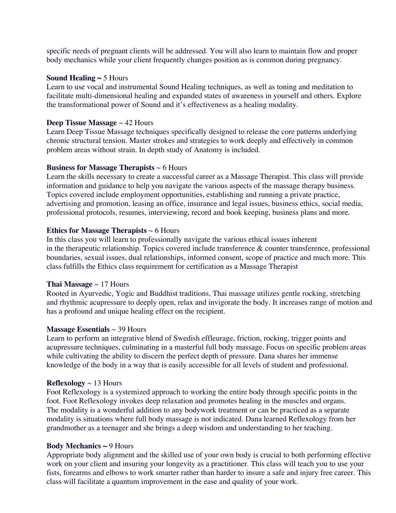specific needs of pregnant clients will be addressed. You will also learn to maintain flow and proper body mechanics while your client frequently changes position as is common during pregnancy.

#### **Sound Healing**  $\sim$  **5 Hours**

Learn to use vocal and instrumental Sound Healing techniques, as well as toning and meditation to facilitate multi-dimensional healing and expanded states of awareness in yourself and others. Explore the transformational power of Sound and it's effectiveness as a healing modality.

#### **Deep Tissue Massage** ~ 42 Hours

Learn Deep Tissue Massage techniques specifically designed to release the core patterns underlying chronic structural tension. Master strokes and strategies to work deeply and effectively in common problem areas without strain. In depth study of Anatomy is included.

#### **Business for Massage Therapists** ~ 6 Hours

Learn the skills necessary to create a successful career as a Massage Therapist. This class will provide information and guidance to help you navigate the various aspects of the massage therapy business. Topics covered include employment opportunities, establishing and running a private practice, advertising and promotion, leasing an office, insurance and legal issues, business ethics, social media, professional protocols, resumes, interviewing, record and book keeping, business plans and more.

#### **Ethics for Massage Therapists** ~ 6 Hours

In this class you will learn to professionally navigate the various ethical issues inherent in the therapeutic relationship. Topics covered include transference & counter transference, professional boundaries, sexual issues, dual relationships, informed consent, scope of practice and much more. This class fulfills the Ethics class requirement for certification as a Massage Therapist

#### **Thai Massage** ~ 17 Hours

Rooted in Ayurvedic, Yogic and Buddhist traditions, Thai massage utilizes gentle rocking, stretching and rhythmic acupressure to deeply open, relax and invigorate the body. It increases range of motion and has a profound and unique healing effect on the recipient.

#### **Massage Essentials** ~ 39 Hours

Learn to perform an integrative blend of Swedish effleurage, friction, rocking, trigger points and acupressure techniques, culminating in a masterful full body massage. Focus on specific problem areas while cultivating the ability to discern the perfect depth of pressure. Dana shares her immense knowledge of the body in a way that is easily accessible for all levels of student and professional.

#### **Reflexology**  $\sim$  13 Hours

Foot Reflexology is a systemized approach to working the entire body through specific points in the foot. Foot Reflexology invokes deep relaxation and promotes healing in the muscles and organs. The modality is a wonderful addition to any bodywork treatment or can be practiced as a separate modality is situations where full body massage is not indicated. Dana learned Reflexology from her grandmother as a teenager and she brings a deep wisdom and understanding to her teaching.

#### **Body Mechanics ~** 9 Hours

Appropriate body alignment and the skilled use of your own body is crucial to both performing effective work on your client and insuring your longevity as a practitioner. This class will teach you to use your fists, forearms and elbows to work smarter rather than harder to insure a safe and injury free career. This class will facilitate a quantum improvement in the ease and quality of your work.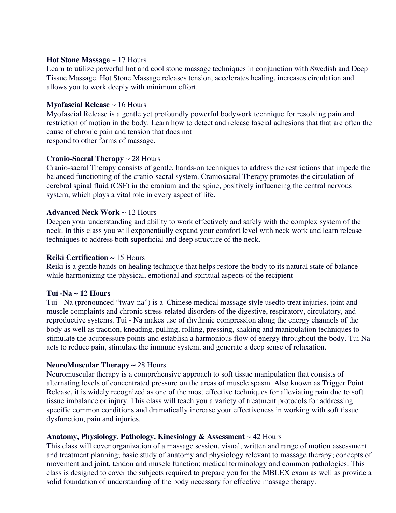#### **Hot Stone Massage** ~ 17 Hours

Learn to utilize powerful hot and cool stone massage techniques in conjunction with Swedish and Deep Tissue Massage. Hot Stone Massage releases tension, accelerates healing, increases circulation and allows you to work deeply with minimum effort.

#### **Myofascial Release** ~ 16 Hours

Myofascial Release is a gentle yet profoundly powerful bodywork technique for resolving pain and restriction of motion in the body. Learn how to detect and release fascial adhesions that that are often the cause of chronic pain and tension that does not respond to other forms of massage.

#### **Cranio-Sacral Therapy** ~ 28 Hours

Cranio-sacral Therapy consists of gentle, hands-on techniques to address the restrictions that impede the balanced functioning of the cranio-sacral system. Craniosacral Therapy promotes the circulation of cerebral spinal fluid (CSF) in the cranium and the spine, positively influencing the central nervous system, which plays a vital role in every aspect of life.

#### **Advanced Neck Work** ~ 12 Hours

Deepen your understanding and ability to work effectively and safely with the complex system of the neck. In this class you will exponentially expand your comfort level with neck work and learn release techniques to address both superficial and deep structure of the neck.

#### **Reiki Certification ~** 15 Hours

Reiki is a gentle hands on healing technique that helps restore the body to its natural state of balance while harmonizing the physical, emotional and spiritual aspects of the recipient

#### **Tui -Na ~ 12 Hours**

Tui - Na (pronounced "tway-na") is a Chinese medical massage style usedto treat injuries, joint and muscle complaints and chronic stress-related disorders of the digestive, respiratory, circulatory, and reproductive systems. Tui - Na makes use of rhythmic compression along the energy channels of the body as well as traction, kneading, pulling, rolling, pressing, shaking and manipulation techniques to stimulate the acupressure points and establish a harmonious flow of energy throughout the body. Tui Na acts to reduce pain, stimulate the immune system, and generate a deep sense of relaxation.

#### **NeuroMuscular Therapy ~** 28 Hours

Neuromuscular therapy is a comprehensive approach to soft tissue manipulation that consists of alternating levels of concentrated pressure on the areas of muscle spasm. Also known as Trigger Point Release, it is widely recognized as one of the most effective techniques for alleviating pain due to soft tissue imbalance or injury. This class will teach you a variety of treatment protocols for addressing specific common conditions and dramatically increase your effectiveness in working with soft tissue dysfunction, pain and injuries.

#### **Anatomy, Physiology, Pathology, Kinesiology & Assessment** ~ 42 Hours

This class will cover organization of a massage session, visual, written and range of motion assessment and treatment planning; basic study of anatomy and physiology relevant to massage therapy; concepts of movement and joint, tendon and muscle function; medical terminology and common pathologies. This class is designed to cover the subjects required to prepare you for the MBLEX exam as well as provide a solid foundation of understanding of the body necessary for effective massage therapy.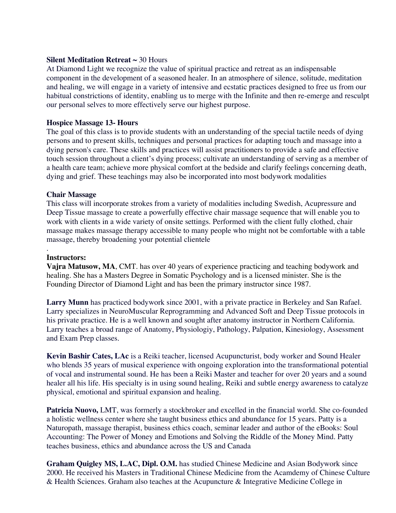#### **Silent Meditation Retreat ~** 30 Hours

At Diamond Light we recognize the value of spiritual practice and retreat as an indispensable component in the development of a seasoned healer. In an atmosphere of silence, solitude, meditation and healing, we will engage in a variety of intensive and ecstatic practices designed to free us from our habitual constrictions of identity, enabling us to merge with the Infinite and then re-emerge and resculpt our personal selves to more effectively serve our highest purpose.

#### **Hospice Massage 13- Hours**

The goal of this class is to provide students with an understanding of the special tactile needs of dying persons and to present skills, techniques and personal practices for adapting touch and massage into a dying person's care. These skills and practices will assist practitioners to provide a safe and effective touch session throughout a client's dying process; cultivate an understanding of serving as a member of a health care team; achieve more physical comfort at the bedside and clarify feelings concerning death, dying and grief. These teachings may also be incorporated into most bodywork modalities

#### **Chair Massage**

This class will incorporate strokes from a variety of modalities including Swedish, Acupressure and Deep Tissue massage to create a powerfully effective chair massage sequence that will enable you to work with clients in a wide variety of onsite settings. Performed with the client fully clothed, chair massage makes massage therapy accessible to many people who might not be comfortable with a table massage, thereby broadening your potential clientele

#### **Instructors:**

.

**Vajra Matusow, MA**, CMT. has over 40 years of experience practicing and teaching bodywork and healing. She has a Masters Degree in Somatic Psychology and is a licensed minister. She is the Founding Director of Diamond Light and has been the primary instructor since 1987.

**Larry Munn** has practiced bodywork since 2001, with a private practice in Berkeley and San Rafael. Larry specializes in NeuroMuscular Reprogramming and Advanced Soft and Deep Tissue protocols in his private practice. He is a well known and sought after anatomy instructor in Northern California. Larry teaches a broad range of Anatomy, Physiologiy, Pathology, Palpation, Kinesiology, Assessment and Exam Prep classes.

**Kevin Bashir Cates, LAc** is a Reiki teacher, licensed Acupuncturist, body worker and Sound Healer who blends 35 years of musical experience with ongoing exploration into the transformational potential of vocal and instrumental sound. He has been a Reiki Master and teacher for over 20 years and a sound healer all his life. His specialty is in using sound healing, Reiki and subtle energy awareness to catalyze physical, emotional and spiritual expansion and healing.

**Patricia Nuovo, LMT**, was formerly a stockbroker and excelled in the financial world. She co-founded a holistic wellness center where she taught business ethics and abundance for 15 years. Patty is a Naturopath, massage therapist, business ethics coach, seminar leader and author of the eBooks: Soul Accounting: The Power of Money and Emotions and Solving the Riddle of the Money Mind. Patty teaches business, ethics and abundance across the US and Canada

**Graham Quigley MS, L.AC, Dipl. O.M.** has studied Chinese Medicine and Asian Bodywork since 2000. He received his Masters in Traditional Chinese Medicine from the Acamdemy of Chinese Culture & Health Sciences. Graham also teaches at the Acupuncture & Integrative Medicine College in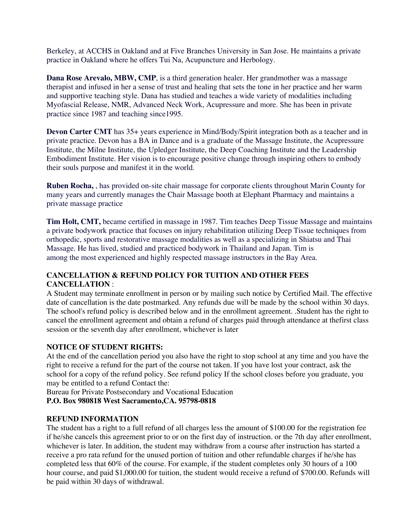Berkeley, at ACCHS in Oakland and at Five Branches University in San Jose. He maintains a private practice in Oakland where he offers Tui Na, Acupuncture and Herbology.

**Dana Rose Arevalo, MBW, CMP**, is a third generation healer. Her grandmother was a massage therapist and infused in her a sense of trust and healing that sets the tone in her practice and her warm and supportive teaching style. Dana has studied and teaches a wide variety of modalities including Myofascial Release, NMR, Advanced Neck Work, Acupressure and more. She has been in private practice since 1987 and teaching since1995.

**Devon Carter CMT** has 35+ years experience in Mind/Body/Spirit integration both as a teacher and in private practice. Devon has a BA in Dance and is a graduate of the Massage Institute, the Acupressure Institute, the Milne Institute, the Upledger Institute, the Deep Coaching Institute and the Leadership Embodiment Institute. Her vision is to encourage positive change through inspiring others to embody their souls purpose and manifest it in the world.

**Ruben Rocha,** , has provided on-site chair massage for corporate clients throughout Marin County for many years and currently manages the Chair Massage booth at Elephant Pharmacy and maintains a private massage practice

**Tim Holt, CMT,** became certified in massage in 1987. Tim teaches Deep Tissue Massage and maintains a private bodywork practice that focuses on injury rehabilitation utilizing Deep Tissue techniques from orthopedic, sports and restorative massage modalities as well as a specializing in Shiatsu and Thai Massage. He has lived, studied and practiced bodywork in Thailand and Japan. Tim is among the most experienced and highly respected massage instructors in the Bay Area.

# **CANCELLATION & REFUND POLICY FOR TUITION AND OTHER FEES CANCELLATION** :

A Student may terminate enrollment in person or by mailing such notice by Certified Mail. The effective date of cancellation is the date postmarked. Any refunds due will be made by the school within 30 days. The school's refund policy is described below and in the enrollment agreement. .Student has the right to cancel the enrollment agreement and obtain a refund of charges paid through attendance at thefirst class session or the seventh day after enrollment, whichever is later

# **NOTICE OF STUDENT RIGHTS:**

At the end of the cancellation period you also have the right to stop school at any time and you have the right to receive a refund for the part of the course not taken. If you have lost your contract, ask the school for a copy of the refund policy. See refund policy If the school closes before you graduate, you may be entitled to a refund Contact the:

Bureau for Private Postsecondary and Vocational Education

**P.O. Box 980818 West Sacramento,CA. 95798-0818** 

# **REFUND INFORMATION**

The student has a right to a full refund of all charges less the amount of \$100.00 for the registration fee if he/she cancels this agreement prior to or on the first day of instruction. or the 7th day after enrollment, whichever is later. In addition, the student may withdraw from a course after instruction has started a receive a pro rata refund for the unused portion of tuition and other refundable charges if he/she has completed less that 60% of the course. For example, if the student completes only 30 hours of a 100 hour course, and paid \$1,000.00 for tuition, the student would receive a refund of \$700.00. Refunds will be paid within 30 days of withdrawal.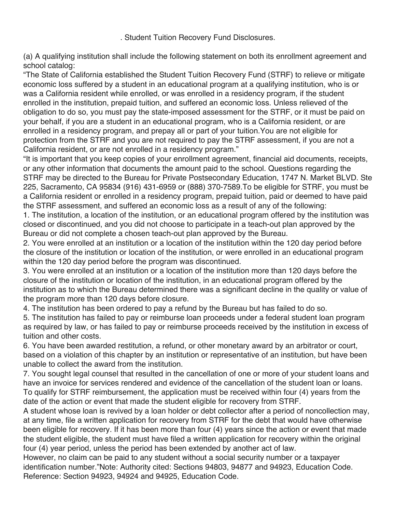. Student Tuition Recovery Fund Disclosures.

(a) A qualifying institution shall include the following statement on both its enrollment agreement and school catalog:

"The State of California established the Student Tuition Recovery Fund (STRF) to relieve or mitigate economic loss suffered by a student in an educational program at a qualifying institution, who is or was a California resident while enrolled, or was enrolled in a residency program, if the student enrolled in the institution, prepaid tuition, and suffered an economic loss. Unless relieved of the obligation to do so, you must pay the state-imposed assessment for the STRF, or it must be paid on your behalf, if you are a student in an educational program, who is a California resident, or are enrolled in a residency program, and prepay all or part of your tuition.You are not eligible for protection from the STRF and you are not required to pay the STRF assessment, if you are not a California resident, or are not enrolled in a residency program."

"It is important that you keep copies of your enrollment agreement, financial aid documents, receipts, or any other information that documents the amount paid to the school. Questions regarding the STRF may be directed to the Bureau for Private Postsecondary Education, 1747 N. Market BLVD. Ste 225, Sacramento, CA 95834 (916) 431-6959 or (888) 370-7589.To be eligible for STRF, you must be a California resident or enrolled in a residency program, prepaid tuition, paid or deemed to have paid the STRF assessment, and suffered an economic loss as a result of any of the following:

1. The institution, a location of the institution, or an educational program offered by the institution was closed or discontinued, and you did not choose to participate in a teach-out plan approved by the Bureau or did not complete a chosen teach-out plan approved by the Bureau.

2. You were enrolled at an institution or a location of the institution within the 120 day period before the closure of the institution or location of the institution, or were enrolled in an educational program within the 120 day period before the program was discontinued.

3. You were enrolled at an institution or a location of the institution more than 120 days before the closure of the institution or location of the institution, in an educational program offered by the institution as to which the Bureau determined there was a significant decline in the quality or value of the program more than 120 days before closure.

4. The institution has been ordered to pay a refund by the Bureau but has failed to do so.

5. The institution has failed to pay or reimburse loan proceeds under a federal student loan program as required by law, or has failed to pay or reimburse proceeds received by the institution in excess of tuition and other costs.

6. You have been awarded restitution, a refund, or other monetary award by an arbitrator or court, based on a violation of this chapter by an institution or representative of an institution, but have been unable to collect the award from the institution.

7. You sought legal counsel that resulted in the cancellation of one or more of your student loans and have an invoice for services rendered and evidence of the cancellation of the student loan or loans. To qualify for STRF reimbursement, the application must be received within four (4) years from the date of the action or event that made the student eligible for recovery from STRF.

A student whose loan is revived by a loan holder or debt collector after a period of noncollection may, at any time, file a written application for recovery from STRF for the debt that would have otherwise been eligible for recovery. If it has been more than four (4) years since the action or event that made the student eligible, the student must have filed a written application for recovery within the original four (4) year period, unless the period has been extended by another act of law.

However, no claim can be paid to any student without a social security number or a taxpayer identification number."Note: Authority cited: Sections 94803, 94877 and 94923, Education Code. Reference: Section 94923, 94924 and 94925, Education Code.